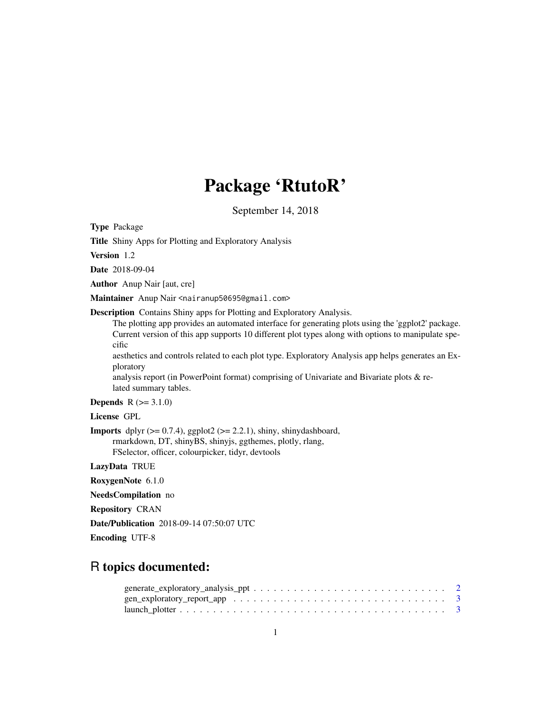## Package 'RtutoR'

September 14, 2018

Type Package

Title Shiny Apps for Plotting and Exploratory Analysis

Version 1.2

Date 2018-09-04

Author Anup Nair [aut, cre]

Maintainer Anup Nair <nairanup50695@gmail.com>

Description Contains Shiny apps for Plotting and Exploratory Analysis.

The plotting app provides an automated interface for generating plots using the 'ggplot2' package. Current version of this app supports 10 different plot types along with options to manipulate specific

aesthetics and controls related to each plot type. Exploratory Analysis app helps generates an Exploratory

analysis report (in PowerPoint format) comprising of Univariate and Bivariate plots & related summary tables.

#### **Depends**  $R (= 3.1.0)$

License GPL

**Imports** dplyr  $(>= 0.7.4)$ , ggplot2  $(>= 2.2.1)$ , shiny, shinydashboard, rmarkdown, DT, shinyBS, shinyjs, ggthemes, plotly, rlang, FSelector, officer, colourpicker, tidyr, devtools

LazyData TRUE

RoxygenNote 6.1.0

NeedsCompilation no

Repository CRAN

Date/Publication 2018-09-14 07:50:07 UTC

Encoding UTF-8

### R topics documented: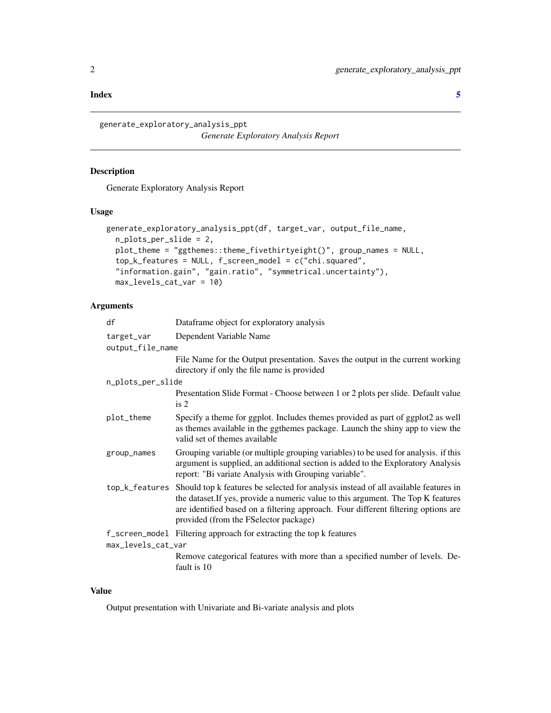#### <span id="page-1-0"></span>**Index** [5](#page-4-0). The second state of the second state of the second state of the second state of the second state of the second state of the second state of the second state of the second state of the second state of the second

generate\_exploratory\_analysis\_ppt *Generate Exploratory Analysis Report*

#### Description

Generate Exploratory Analysis Report

#### Usage

```
generate_exploratory_analysis_ppt(df, target_var, output_file_name,
 n_plots_per_slide = 2,
 plot_theme = "ggthemes::theme_fivethirtyeight()", group_names = NULL,
  top_k_features = NULL, f_screen_model = c("chi.squared",
  "information.gain", "gain.ratio", "symmetrical.uncertainty"),
 max_levels_cat_var = 10)
```
#### Arguments

| Dataframe object for exploratory analysis                                                                                                                                                                                                                                                                                 |
|---------------------------------------------------------------------------------------------------------------------------------------------------------------------------------------------------------------------------------------------------------------------------------------------------------------------------|
| Dependent Variable Name                                                                                                                                                                                                                                                                                                   |
| output_file_name                                                                                                                                                                                                                                                                                                          |
| File Name for the Output presentation. Saves the output in the current working<br>directory if only the file name is provided                                                                                                                                                                                             |
| n_plots_per_slide                                                                                                                                                                                                                                                                                                         |
| Presentation Slide Format - Choose between 1 or 2 plots per slide. Default value<br>is 2                                                                                                                                                                                                                                  |
| Specify a theme for ggplot. Includes themes provided as part of ggplot2 as well<br>as themes available in the ggthemes package. Launch the shiny app to view the<br>valid set of themes available                                                                                                                         |
| Grouping variable (or multiple grouping variables) to be used for analysis. if this<br>argument is supplied, an additional section is added to the Exploratory Analysis<br>report: "Bi variate Analysis with Grouping variable".                                                                                          |
| Should top k features be selected for analysis instead of all available features in<br>top_k_features<br>the dataset. If yes, provide a numeric value to this argument. The Top K features<br>are identified based on a filtering approach. Four different filtering options are<br>provided (from the FSelector package) |
| f_screen_mode1 Filtering approach for extracting the top k features<br>max_levels_cat_var                                                                                                                                                                                                                                 |
|                                                                                                                                                                                                                                                                                                                           |
| Remove categorical features with more than a specified number of levels. De-<br>fault is 10                                                                                                                                                                                                                               |
|                                                                                                                                                                                                                                                                                                                           |

#### Value

Output presentation with Univariate and Bi-variate analysis and plots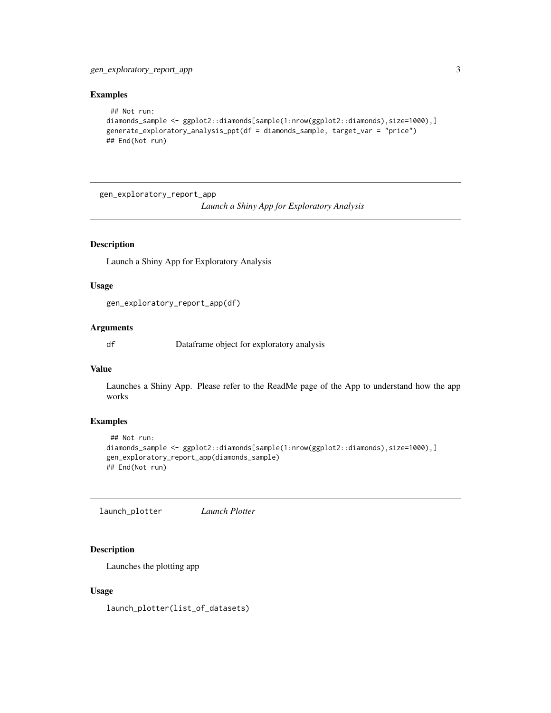#### <span id="page-2-0"></span>Examples

```
## Not run:
diamonds_sample <- ggplot2::diamonds[sample(1:nrow(ggplot2::diamonds),size=1000),]
generate_exploratory_analysis_ppt(df = diamonds_sample, target_var = "price")
## End(Not run)
```
gen\_exploratory\_report\_app *Launch a Shiny App for Exploratory Analysis*

#### Description

Launch a Shiny App for Exploratory Analysis

#### Usage

```
gen_exploratory_report_app(df)
```
#### Arguments

df Dataframe object for exploratory analysis

#### Value

Launches a Shiny App. Please refer to the ReadMe page of the App to understand how the app works

#### Examples

```
## Not run:
diamonds_sample <- ggplot2::diamonds[sample(1:nrow(ggplot2::diamonds),size=1000),]
gen_exploratory_report_app(diamonds_sample)
## End(Not run)
```
launch\_plotter *Launch Plotter*

#### Description

Launches the plotting app

#### Usage

launch\_plotter(list\_of\_datasets)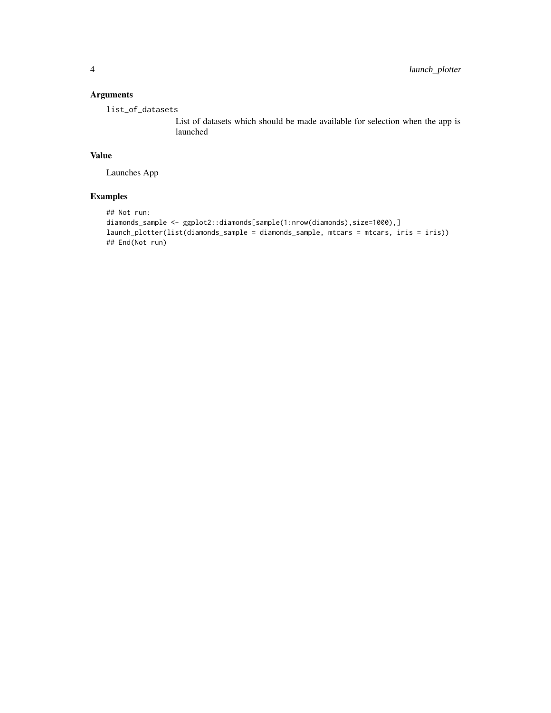#### Arguments

list\_of\_datasets

List of datasets which should be made available for selection when the app is launched

#### Value

Launches App

#### Examples

```
## Not run:
diamonds_sample <- ggplot2::diamonds[sample(1:nrow(diamonds),size=1000),]
launch_plotter(list(diamonds_sample = diamonds_sample, mtcars = mtcars, iris = iris))
## End(Not run)
```